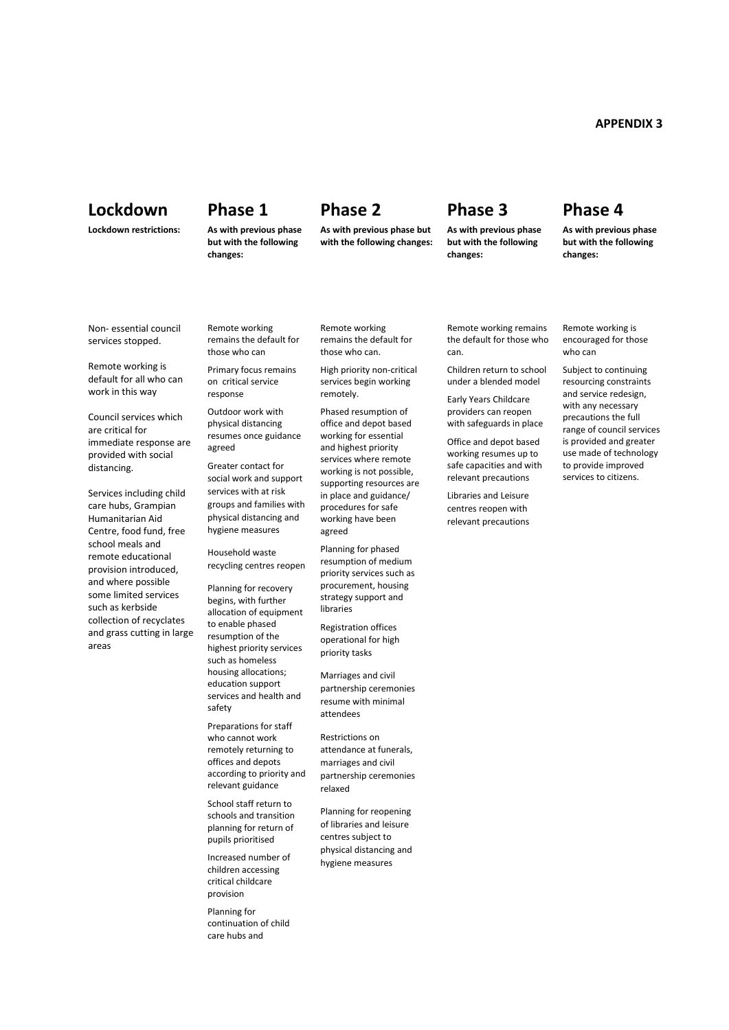## **APPENDIX 3**

# **Lockdown Phase 1 Phase 2 Phase 3 Phase 4**

### **Lockdown restrictions: As with previous phase**

**but with the following changes:** 

**As with previous phase but with the following changes:** 

**As with previous phase but with the following changes:** 

**As with previous phase but with the following changes:** 

Non- essential council services stopped.

Remote working is default for all who can work in this way

Council services which are critical for immediate response are provided with social distancing.

Services including child care hubs, Grampian Humanitarian Aid Centre, food fund, free school meals and remote educational provision introduced, and where possible some limited services such as kerbside collection of recyclates and grass cutting in large areas

Remote working remains the default for those who can

Primary focus remains on critical service response

Outdoor work with physical distancing resumes once guidance agreed

Greater contact for social work and support services with at risk groups and families with physical distancing and hygiene measures

Household waste recycling centres reopen

Planning for recovery begins, with further allocation of equipment to enable phased resumption of the highest priority services such as homeless housing allocations; education support services and health and safety

Preparations for staff who cannot work remotely returning to offices and depots according to priority and relevant guidance

School staff return to schools and transition planning for return of pupils prioritised

Increased number of children accessing critical childcare provision

Planning for continuation of child care hubs and

Remote working remains the default for those who can.

High priority non-critical services begin working remotely.

Phased resumption of office and depot based working for essential and highest priority services where remote working is not possible, supporting resources are in place and guidance/ procedures for safe working have been agreed

Planning for phased resumption of medium priority services such as procurement, housing strategy support and libraries

Registration offices operational for high priority tasks

Marriages and civil partnership ceremonies resume with minimal attendees

Restrictions on attendance at funerals, marriages and civil partnership ceremonies relaxed

Planning for reopening of libraries and leisure centres subject to physical distancing and hygiene measures

Remote working remains the default for those who can.

Children return to school under a blended model

Early Years Childcare providers can reopen with safeguards in place

Office and depot based working resumes up to safe capacities and with relevant precautions

Libraries and Leisure centres reopen with relevant precautions

Remote working is encouraged for those who can

Subject to continuing resourcing constraints and service redesign, with any necessary precautions the full range of council services is provided and greater use made of technology to provide improved services to citizens.